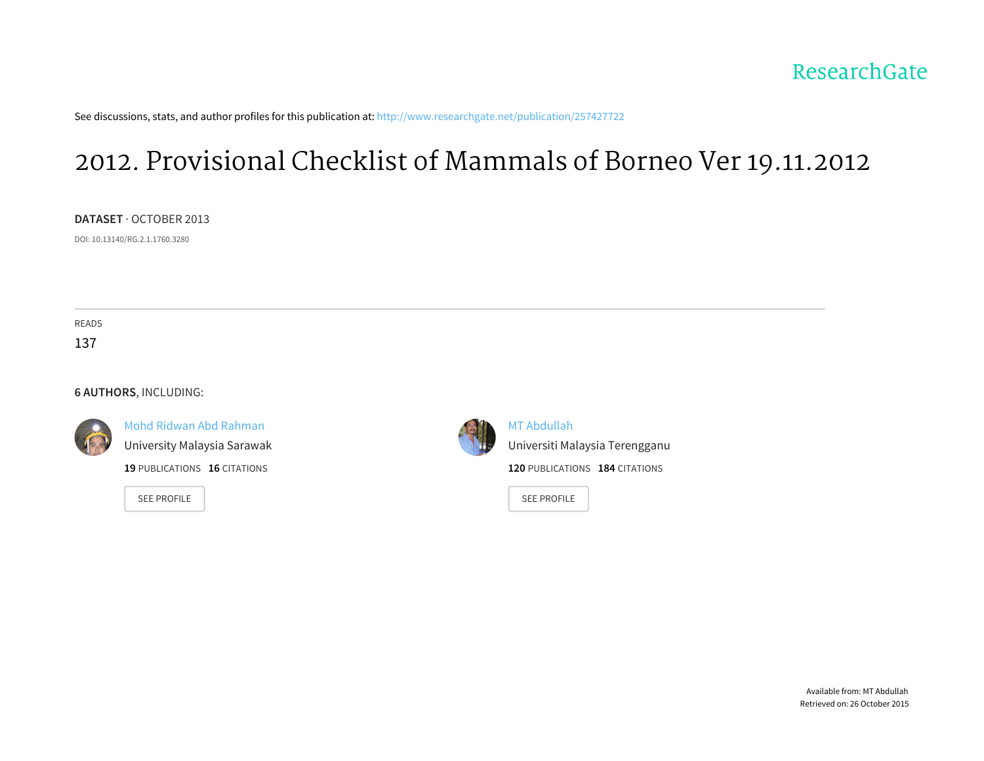See discussions, stats, and author profiles for this publication at: [http://www.researchgate.net/publication/257427722](http://www.researchgate.net/publication/257427722_2012._Provisional_Checklist_of_Mammals_of_Borneo_Ver_19.11.2012?enrichId=rgreq-5aada8d4-a82c-4cec-8d6e-a33fc6b61b7e&enrichSource=Y292ZXJQYWdlOzI1NzQyNzcyMjtBUzoxMDI5NTE4NzE4NDQzNjNAMTQwMTU1NzA0ODc3Nw%3D%3D&el=1_x_2)

# 2012. [Provisional](http://www.researchgate.net/publication/257427722_2012._Provisional_Checklist_of_Mammals_of_Borneo_Ver_19.11.2012?enrichId=rgreq-5aada8d4-a82c-4cec-8d6e-a33fc6b61b7e&enrichSource=Y292ZXJQYWdlOzI1NzQyNzcyMjtBUzoxMDI5NTE4NzE4NDQzNjNAMTQwMTU1NzA0ODc3Nw%3D%3D&el=1_x_3) Checklist of Mammals of Borneo Ver 19.11.2012

**DATASET** · OCTOBER 2013

DOI: 10.13140/RG.2.1.1760.3280

READS 137

**6 AUTHORS**, INCLUDING:

Mohd Ridwan Abd [Rahman](http://www.researchgate.net/profile/Mohd_Abd_Rahman?enrichId=rgreq-5aada8d4-a82c-4cec-8d6e-a33fc6b61b7e&enrichSource=Y292ZXJQYWdlOzI1NzQyNzcyMjtBUzoxMDI5NTE4NzE4NDQzNjNAMTQwMTU1NzA0ODc3Nw%3D%3D&el=1_x_5) [University](http://www.researchgate.net/institution/University_Malaysia_Sarawak?enrichId=rgreq-5aada8d4-a82c-4cec-8d6e-a33fc6b61b7e&enrichSource=Y292ZXJQYWdlOzI1NzQyNzcyMjtBUzoxMDI5NTE4NzE4NDQzNjNAMTQwMTU1NzA0ODc3Nw%3D%3D&el=1_x_6) Malaysia Sarawak

**19** PUBLICATIONS **16** CITATIONS

SEE [PROFILE](http://www.researchgate.net/profile/Mohd_Abd_Rahman?enrichId=rgreq-5aada8d4-a82c-4cec-8d6e-a33fc6b61b7e&enrichSource=Y292ZXJQYWdlOzI1NzQyNzcyMjtBUzoxMDI5NTE4NzE4NDQzNjNAMTQwMTU1NzA0ODc3Nw%3D%3D&el=1_x_7)



MT [Abdullah](http://www.researchgate.net/profile/MT_Abdullah?enrichId=rgreq-5aada8d4-a82c-4cec-8d6e-a33fc6b61b7e&enrichSource=Y292ZXJQYWdlOzI1NzQyNzcyMjtBUzoxMDI5NTE4NzE4NDQzNjNAMTQwMTU1NzA0ODc3Nw%3D%3D&el=1_x_5)

Universiti Malaysia [Terengganu](http://www.researchgate.net/institution/Universiti_Malaysia_Terengganu?enrichId=rgreq-5aada8d4-a82c-4cec-8d6e-a33fc6b61b7e&enrichSource=Y292ZXJQYWdlOzI1NzQyNzcyMjtBUzoxMDI5NTE4NzE4NDQzNjNAMTQwMTU1NzA0ODc3Nw%3D%3D&el=1_x_6) **120** PUBLICATIONS **184** CITATIONS

SEE [PROFILE](http://www.researchgate.net/profile/MT_Abdullah?enrichId=rgreq-5aada8d4-a82c-4cec-8d6e-a33fc6b61b7e&enrichSource=Y292ZXJQYWdlOzI1NzQyNzcyMjtBUzoxMDI5NTE4NzE4NDQzNjNAMTQwMTU1NzA0ODc3Nw%3D%3D&el=1_x_7)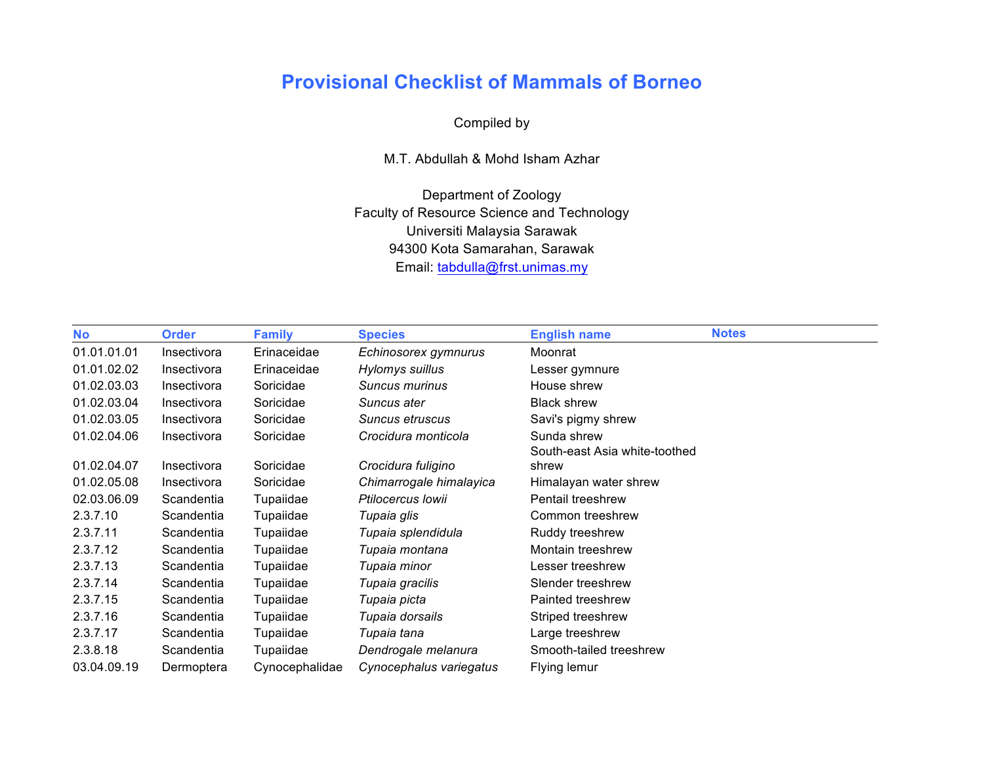## **Provisional Checklist of Mammals of Borneo**

### Compiled by

M.T. Abdullah & Mohd Isham Azhar

Department of Zoology Faculty of Resource Science and Technology Universiti Malaysia Sarawak 94300 Kota Samarahan, Sarawak Email: tabdulla@frst.unimas.my

| <b>No</b>   | <b>Order</b> | <b>Family</b>  | <b>Species</b>          | <b>English name</b>           | <b>Notes</b> |
|-------------|--------------|----------------|-------------------------|-------------------------------|--------------|
| 01.01.01.01 | Insectivora  | Erinaceidae    | Echinosorex gymnurus    | Moonrat                       |              |
| 01.01.02.02 | Insectivora  | Erinaceidae    | Hylomys suillus         | Lesser gymnure                |              |
| 01.02.03.03 | Insectivora  | Soricidae      | Suncus murinus          | House shrew                   |              |
| 01.02.03.04 | Insectivora  | Soricidae      | Suncus ater             | <b>Black shrew</b>            |              |
| 01.02.03.05 | Insectivora  | Soricidae      | Suncus etruscus         | Savi's pigmy shrew            |              |
| 01.02.04.06 | Insectivora  | Soricidae      | Crocidura monticola     | Sunda shrew                   |              |
|             |              |                |                         | South-east Asia white-toothed |              |
| 01.02.04.07 | Insectivora  | Soricidae      | Crocidura fuligino      | shrew                         |              |
| 01.02.05.08 | Insectivora  | Soricidae      | Chimarrogale himalayica | Himalayan water shrew         |              |
| 02.03.06.09 | Scandentia   | Tupaiidae      | Ptilocercus Iowii       | <b>Pentail treeshrew</b>      |              |
| 2.3.7.10    | Scandentia   | Tupaiidae      | Tupaia glis             | Common treeshrew              |              |
| 2.3.7.11    | Scandentia   | Tupaiidae      | Tupaia splendidula      | Ruddy treeshrew               |              |
| 2.3.7.12    | Scandentia   | Tupaiidae      | Tupaia montana          | Montain treeshrew             |              |
| 2.3.7.13    | Scandentia   | Tupaiidae      | Tupaia minor            | Lesser treeshrew              |              |
| 2.3.7.14    | Scandentia   | Tupaiidae      | Tupaia gracilis         | Slender treeshrew             |              |
| 2.3.7.15    | Scandentia   | Tupaiidae      | Tupaia picta            | Painted treeshrew             |              |
| 2.3.7.16    | Scandentia   | Tupaiidae      | Tupaia dorsails         | Striped treeshrew             |              |
| 2.3.7.17    | Scandentia   | Tupaiidae      | Tupaia tana             | Large treeshrew               |              |
| 2.3.8.18    | Scandentia   | Tupaiidae      | Dendrogale melanura     | Smooth-tailed treeshrew       |              |
| 03.04.09.19 | Dermoptera   | Cynocephalidae | Cynocephalus variegatus | Flying lemur                  |              |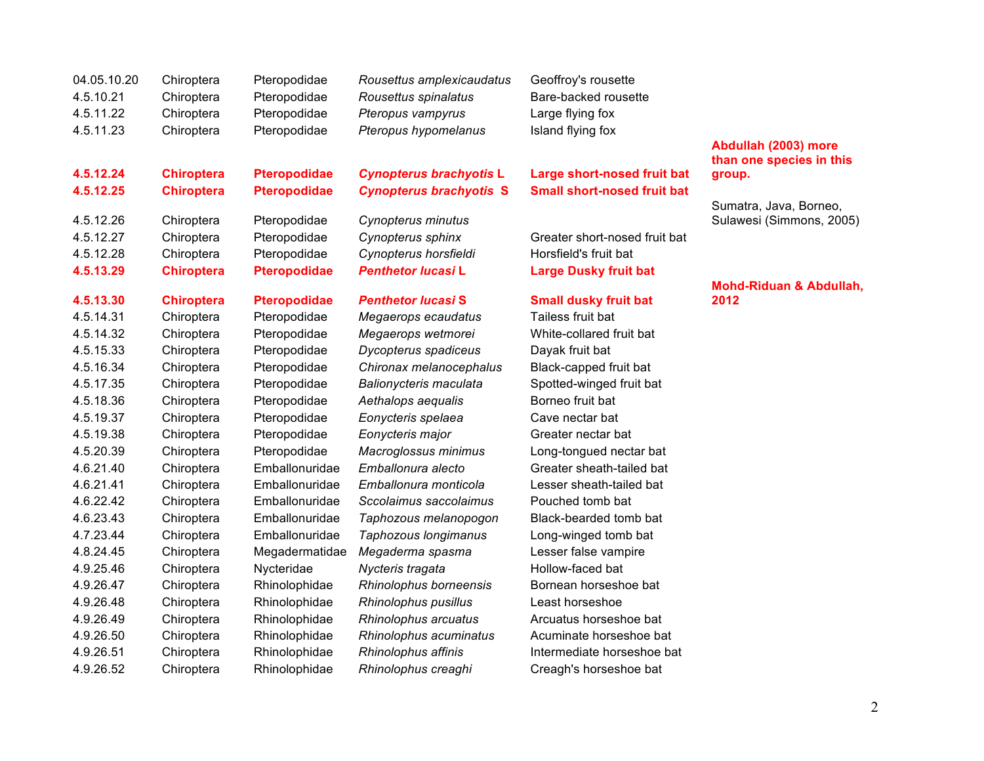| 04.05.10.20<br>4.5.10.21<br>4.5.11.22 | Chiroptera<br>Chiroptera<br>Chiroptera | Pteropodidae<br>Pteropodidae<br>Pteropodidae | Rousettus amplexicaudatus<br>Rousettus spinalatus<br>Pteropus vampyrus | Geoffroy's rousette<br>Bare-backed rousette<br>Large flying fox |                                            |
|---------------------------------------|----------------------------------------|----------------------------------------------|------------------------------------------------------------------------|-----------------------------------------------------------------|--------------------------------------------|
| 4.5.11.23                             | Chiroptera                             | Pteropodidae                                 | Pteropus hypomelanus                                                   | Island flying fox                                               | Abdullah (2003) more                       |
|                                       |                                        |                                              |                                                                        |                                                                 | than one species in this                   |
| 4.5.12.24                             | <b>Chiroptera</b>                      | <b>Pteropodidae</b>                          | <b>Cynopterus brachyotis L</b>                                         | <b>Large short-nosed fruit bat</b>                              | group.                                     |
| 4.5.12.25                             | <b>Chiroptera</b>                      | <b>Pteropodidae</b>                          | <b>Cynopterus brachyotis S</b>                                         | <b>Small short-nosed fruit bat</b>                              |                                            |
|                                       |                                        |                                              |                                                                        |                                                                 | Sumatra, Java, Borneo,                     |
| 4.5.12.26                             | Chiroptera                             | Pteropodidae                                 | Cynopterus minutus                                                     |                                                                 | Sulawesi (Simmons, 2005)                   |
| 4.5.12.27                             | Chiroptera                             | Pteropodidae                                 | Cynopterus sphinx                                                      | Greater short-nosed fruit bat                                   |                                            |
| 4.5.12.28                             | Chiroptera                             | Pteropodidae                                 | Cynopterus horsfieldi                                                  | Horsfield's fruit bat                                           |                                            |
| 4.5.13.29                             | <b>Chiroptera</b>                      | <b>Pteropodidae</b>                          | <b>Penthetor lucasi L</b>                                              | <b>Large Dusky fruit bat</b>                                    |                                            |
| 4.5.13.30                             |                                        |                                              | <b>Penthetor lucasi S</b>                                              |                                                                 | <b>Mohd-Riduan &amp; Abdullah,</b><br>2012 |
|                                       | <b>Chiroptera</b>                      | <b>Pteropodidae</b>                          |                                                                        | <b>Small dusky fruit bat</b><br>Tailess fruit bat               |                                            |
| 4.5.14.31                             | Chiroptera                             | Pteropodidae                                 | Megaerops ecaudatus                                                    |                                                                 |                                            |
| 4.5.14.32                             | Chiroptera                             | Pteropodidae                                 | Megaerops wetmorei                                                     | White-collared fruit bat                                        |                                            |
| 4.5.15.33                             | Chiroptera                             | Pteropodidae                                 | Dycopterus spadiceus                                                   | Dayak fruit bat                                                 |                                            |
| 4.5.16.34                             | Chiroptera                             | Pteropodidae                                 | Chironax melanocephalus                                                | Black-capped fruit bat                                          |                                            |
| 4.5.17.35                             | Chiroptera                             | Pteropodidae                                 | Balionycteris maculata                                                 | Spotted-winged fruit bat                                        |                                            |
| 4.5.18.36                             | Chiroptera                             | Pteropodidae                                 | Aethalops aequalis                                                     | Borneo fruit bat                                                |                                            |
| 4.5.19.37                             | Chiroptera                             | Pteropodidae                                 | Eonycteris spelaea                                                     | Cave nectar bat                                                 |                                            |
| 4.5.19.38                             | Chiroptera                             | Pteropodidae                                 | Eonycteris major                                                       | Greater nectar bat                                              |                                            |
| 4.5.20.39                             | Chiroptera                             | Pteropodidae                                 | Macroglossus minimus                                                   | Long-tongued nectar bat                                         |                                            |
| 4.6.21.40                             | Chiroptera                             | Emballonuridae                               | Emballonura alecto                                                     | Greater sheath-tailed bat                                       |                                            |
| 4.6.21.41                             | Chiroptera                             | Emballonuridae                               | Emballonura monticola                                                  | Lesser sheath-tailed bat                                        |                                            |
| 4.6.22.42                             | Chiroptera                             | Emballonuridae                               | Sccolaimus saccolaimus                                                 | Pouched tomb bat                                                |                                            |
| 4.6.23.43                             | Chiroptera                             | Emballonuridae                               | Taphozous melanopogon                                                  | Black-bearded tomb bat                                          |                                            |
| 4.7.23.44                             | Chiroptera                             | Emballonuridae                               | Taphozous longimanus                                                   | Long-winged tomb bat                                            |                                            |
| 4.8.24.45                             | Chiroptera                             | Megadermatidae                               | Megaderma spasma                                                       | Lesser false vampire                                            |                                            |
| 4.9.25.46                             | Chiroptera                             | Nycteridae                                   | Nycteris tragata                                                       | Hollow-faced bat                                                |                                            |
| 4.9.26.47                             | Chiroptera                             | Rhinolophidae                                | Rhinolophus borneensis                                                 | Bornean horseshoe bat                                           |                                            |
| 4.9.26.48                             | Chiroptera                             | Rhinolophidae                                | Rhinolophus pusillus                                                   | Least horseshoe                                                 |                                            |
| 4.9.26.49                             | Chiroptera                             | Rhinolophidae                                | Rhinolophus arcuatus                                                   | Arcuatus horseshoe bat                                          |                                            |
| 4.9.26.50                             | Chiroptera                             | Rhinolophidae                                | Rhinolophus acuminatus                                                 | Acuminate horseshoe bat                                         |                                            |
| 4.9.26.51                             | Chiroptera                             | Rhinolophidae                                | Rhinolophus affinis                                                    | Intermediate horseshoe bat                                      |                                            |
| 4.9.26.52                             | Chiroptera                             | Rhinolophidae                                | Rhinolophus creaghi                                                    | Creagh's horseshoe bat                                          |                                            |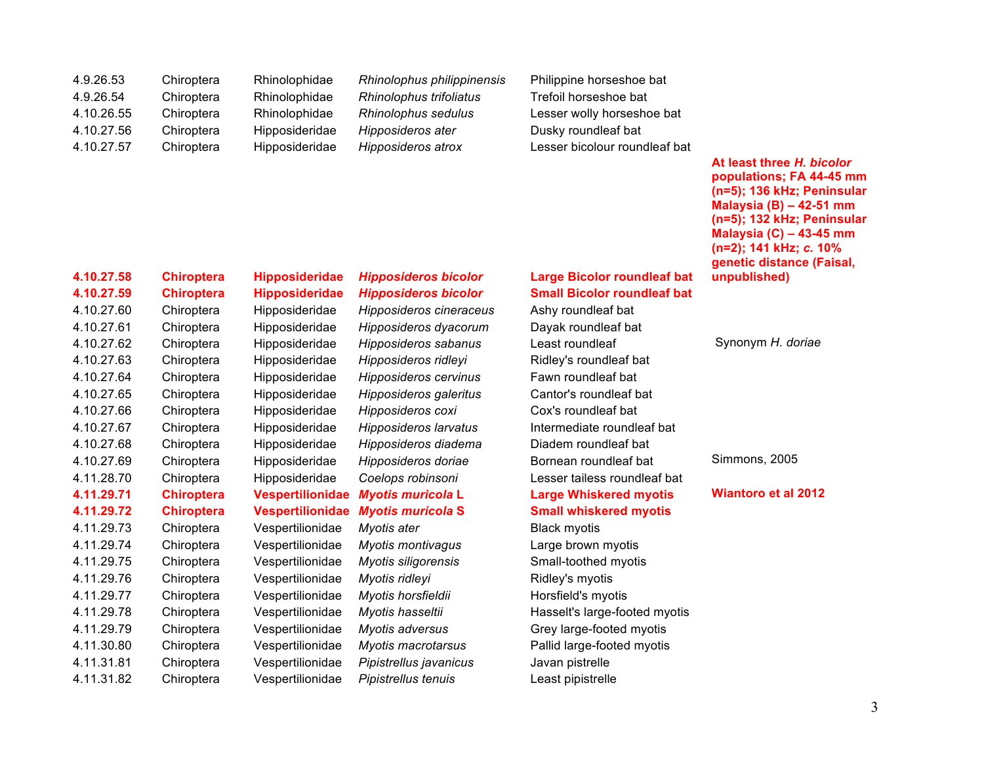| 4.9.26.53  | Chiroptera | Rhinolophidae  | Rhinolophus philippinensis | Philippine horseshoe bat      |
|------------|------------|----------------|----------------------------|-------------------------------|
| 4.9.26.54  | Chiroptera | Rhinolophidae  | Rhinolophus trifoliatus    | Trefoil horseshoe bat         |
| 4.10.26.55 | Chiroptera | Rhinolophidae  | Rhinolophus sedulus        | Lesser wolly horseshoe bat    |
| 4.10.27.56 | Chiroptera | Hipposideridae | Hipposideros ater          | Dusky roundleaf bat           |
| 4.10.27.57 | Chiroptera | Hipposideridae | Hipposideros atrox         | Lesser bicolour roundleaf bat |

### **(n=5); 136 kHz; Peninsular Malaysia (B) – 42-51 mm (n=5); 132 kHz; Peninsular Malaysia (C) – 43-45 mm (n=2); 141 kHz;** *c.* **10% genetic distance (Faisal, unpublished)**

**At least three** *H. bicolor*  **populations; FA 44-45 mm** 

| 4.10.27.58 | <b>Chirop</b> |
|------------|---------------|
| 4.10.27.59 | <b>Chirop</b> |
| 4.10.27.60 | Chiropt       |
| 4.10.27.61 | Chiropt       |
| 4.10.27.62 | Chiropt       |
| 4.10.27.63 | Chiropt       |
| 4.10.27.64 | Chiropt       |
| 4.10.27.65 | Chiropt       |
| 4.10.27.66 | Chiropt       |
| 4.10.27.67 | Chiropt       |
| 4.10.27.68 | Chiropt       |
| 4.10.27.69 | Chiropt       |
| 4.11.28.70 | Chiropt       |
| 4.11.29.71 | <b>Chirop</b> |
| 4.11.29.72 | Chirop        |
| 4.11.29.73 | Chiropt       |
| 4.11.29.74 | Chiropt       |
| 4.11.29.75 | Chiropt       |
| 4.11.29.76 | Chiropt       |
| 4.11.29.77 | Chiropt       |
| 4.11.29.78 | Chiropt       |
| 4.11.29.79 | Chiropt       |
| 4.11.30.80 | Chiropt       |
| 4.11.31.81 | Chiropt       |
| 4.11.31.82 | Chiropt       |
|            |               |

# 4.11.31.81 Chiroptera Vespertilionidae *Pipistrellus javanicus* Javan pistrelle 4.11.31.82 Chiroptera Vespertilionidae *Pipistrellus tenuis* Least pipistrelle

4.10.27.60 Chiroptera Hipposideridae *Hipposideros cineraceus* Ashy roundleaf bat 4.10.27.61 Chiroptera Hipposideridae *Hipposideros dyacorum* Dayak roundleaf bat 4.10.27.63 Chiroptera Hipposideridae *Hipposideros ridleyi* Ridley's roundleaf bat 4.10.27.64 Chiroptera Hipposideridae *Hipposideros cervinus* Fawn roundleaf bat 4.10.27.66 Chiroptera Hipposideridae *Hipposideros coxi* Cox's roundleaf bat 4.10.27.68 Chiroptera Hipposideridae *Hipposideros diadema* Diadem roundleaf bat 4.11.29.73 Chiroptera Vespertilionidae *Myotis ater* Black myotis 4.11.29.74 Chiroptera Vespertilionidae *Myotis montivagus* Large brown myotis 4.11.29.75 Chiroptera Vespertilionidae *Myotis siligorensis* Small-toothed myotis 4.11.29.76 Chiroptera Vespertilionidae *Myotis ridleyi* Ridley's myotis 4.11.29.77 Chiroptera Vespertilionidae *Myotis horsfieldii* Horsfield's myotis

### **4.10.27.58 Chiroptera Hipposideridae** *Hipposideros bicolor* **Large Bicolor roundleaf bat 4.10.27.59 Chiroptera Hipposideridae** *Hipposideros bicolor* **Small Bicolor roundleaf bat**

4.10.27.62 Chiroptera Hipposideridae *Hipposideros sabanus* Least roundleaf Synonym *H. doriae* 4.10.27.65 Chiroptera Hipposideridae *Hipposideros galeritus* Cantor's roundleaf bat 4.10.27.67 Chiroptera Hipposideridae *Hipposideros larvatus* Intermediate roundleaf bat 4.10.27.69 Chiroptera Hipposideridae *Hipposideros doriae* Bornean roundleaf bat Simmons, 2005 4.11.28.70 Chiroptera Hipposideridae *Coelops robinsoni* Lesser tailess roundleaf bat **4.11.29.71 Chiroptera Vespertilionidae** *Myotis muricola* **L Large Whiskered myotis Wiantoro et al 2012 4.11.29.72 Chiroptera Vespertilionidae** *Myotis muricola* **S Small whiskered myotis**

4.11.29.78 Chiroptera Vespertilionidae *Myotis hasseltii* Hasselt's large-footed myotis 4.11.29.79 Chiroptera Vespertilionidae *Myotis adversus* Grey large-footed myotis 4.11.30.80 Chiroptera Vespertilionidae *Myotis macrotarsus* Pallid large-footed myotis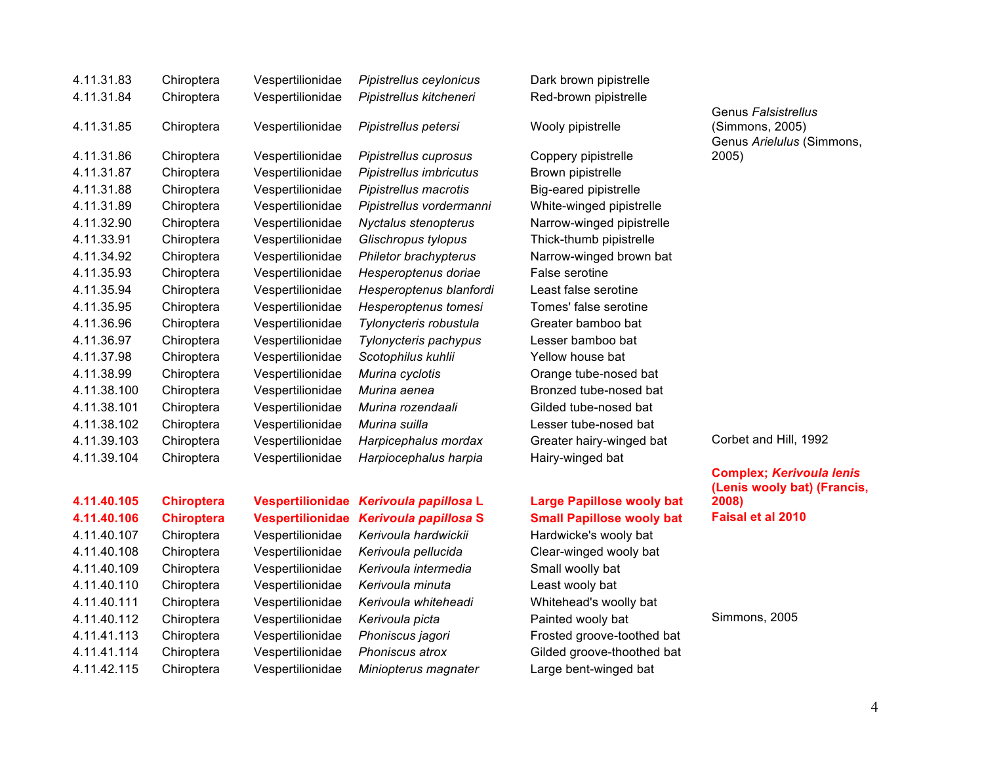| 4.11.31.83  | Chiroptera        | Vespertilionidae        | Pipistrellus ceylonicus  | Dark brown pipistrelle           |
|-------------|-------------------|-------------------------|--------------------------|----------------------------------|
| 4.11.31.84  | Chiroptera        | Vespertilionidae        | Pipistrellus kitcheneri  | Red-brown pipistrelle            |
| 4.11.31.85  | Chiroptera        | Vespertilionidae        | Pipistrellus petersi     | Wooly pipistrelle                |
| 4.11.31.86  | Chiroptera        | Vespertilionidae        | Pipistrellus cuprosus    | Coppery pipistrelle              |
| 4.11.31.87  | Chiroptera        | Vespertilionidae        | Pipistrellus imbricutus  | Brown pipistrelle                |
| 4.11.31.88  | Chiroptera        | Vespertilionidae        | Pipistrellus macrotis    | Big-eared pipistrelle            |
| 4.11.31.89  | Chiroptera        | Vespertilionidae        | Pipistrellus vordermanni | White-winged pipistrelle         |
| 4.11.32.90  | Chiroptera        | Vespertilionidae        | Nyctalus stenopterus     | Narrow-winged pipistrelle        |
| 4.11.33.91  | Chiroptera        | Vespertilionidae        | Glischropus tylopus      | Thick-thumb pipistrelle          |
| 4.11.34.92  | Chiroptera        | Vespertilionidae        | Philetor brachypterus    | Narrow-winged brown bat          |
| 4.11.35.93  | Chiroptera        | Vespertilionidae        | Hesperoptenus doriae     | False serotine                   |
| 4.11.35.94  | Chiroptera        | Vespertilionidae        | Hesperoptenus blanfordi  | Least false serotine             |
| 4.11.35.95  | Chiroptera        | Vespertilionidae        | Hesperoptenus tomesi     | Tomes' false serotine            |
| 4.11.36.96  | Chiroptera        | Vespertilionidae        | Tylonycteris robustula   | Greater bamboo bat               |
| 4.11.36.97  | Chiroptera        | Vespertilionidae        | Tylonycteris pachypus    | Lesser bamboo bat                |
| 4.11.37.98  | Chiroptera        | Vespertilionidae        | Scotophilus kuhlii       | Yellow house bat                 |
| 4.11.38.99  | Chiroptera        | Vespertilionidae        | Murina cyclotis          | Orange tube-nosed bat            |
| 4.11.38.100 | Chiroptera        | Vespertilionidae        | Murina aenea             | Bronzed tube-nosed bat           |
| 4.11.38.101 | Chiroptera        | Vespertilionidae        | Murina rozendaali        | Gilded tube-nosed bat            |
| 4.11.38.102 | Chiroptera        | Vespertilionidae        | Murina suilla            | Lesser tube-nosed bat            |
| 4.11.39.103 | Chiroptera        | Vespertilionidae        | Harpicephalus mordax     | Greater hairy-winged bat         |
| 4.11.39.104 | Chiroptera        | Vespertilionidae        | Harpiocephalus harpia    | Hairy-winged bat                 |
|             |                   |                         |                          |                                  |
| 4.11.40.105 | <b>Chiroptera</b> | <b>Vespertilionidae</b> | Kerivoula papillosa L    | <b>Large Papillose wooly bat</b> |
| 4.11.40.106 | <b>Chiroptera</b> | <b>Vespertilionidae</b> | Kerivoula papillosa S    | <b>Small Papillose wooly bat</b> |
| 4.11.40.107 | Chiroptera        | Vespertilionidae        | Kerivoula hardwickii     | Hardwicke's wooly bat            |
| 4.11.40.108 | Chiroptera        | Vespertilionidae        | Kerivoula pellucida      | Clear-winged wooly bat           |
| 4.11.40.109 | Chiroptera        | Vespertilionidae        | Kerivoula intermedia     | Small woolly bat                 |
| 4.11.40.110 | Chiroptera        | Vespertilionidae        | Kerivoula minuta         | Least wooly bat                  |

4.11.40.111 Chiroptera Vespertilionidae *Kerivoula whiteheadi* Whitehead's woolly bat

4.11.41.113 Chiroptera Vespertilionidae *Phoniscus jagori* Frosted groove-toothed bat 4.11.41.114 Chiroptera Vespertilionidae *Phoniscus atrox* Gilded groove-thoothed bat 4.11.42.115 Chiroptera Vespertilionidae *Miniopterus magnater* Large bent-winged bat

### 4.11.31.85 Chiroptera Vespertilionidae *Pipistrellus petersi* Wooly pipistrelle

4.11.31.86 Chiroptera Vespertilionidae *Pipistrellus cuprosus* Coppery pipistrelle 4.11.31.87 Chiroptera Vespertilionidae *Pipistrellus imbricutus* Brown pipistrelle eared pipistrelle te-winged pipistrelle ow-winged pipistrelle  $k$ -thumb pipistrelle 4.11.34.92 Chiroptera Vespertilionidae *Philetor brachypterus* Narrow-winged brown bat 4.11.35.94 Chiroptera Vespertilionidae *Hesperoptenus blanfordi* Least false serotine  $es'$  false serotine 4.11.36.96 Chiroptera Vespertilionidae *Tylonycteris robustula* Greater bamboo bat 4.11.36.97 Chiroptera Vespertilionidae *Tylonycteris pachypus* Lesser bamboo bat ow house bat 4.11.38.99 Chiroptera Vespertilionidae *Murina cyclotis* Orange tube-nosed bat 12ed tube-nosed bat ed tube-nosed bat 4.11.38.102 Chiroptera Vespertilionidae *Murina suilla* Lesser tube-nosed bat 4.11.39.103 Chiroptera Vespertilionidae *Harpicephalus mordax* Greater hairy-winged bat Corbet and Hill, 1992 y-winged bat<sup>r</sup>

Genus *Falsistrellus*  (Simmons, 2005) Genus *Arielulus* (Simmons, 2005)

**Complex;** *Kerivoula lenis*  **(Lenis wooly bat) (Francis, 2008) 4.11.40.106 Chiroptera Vespertilionidae** *Kerivoula papillosa* **S Small Papillose wooly bat Faisal et al 2010**

4.11.40.112 Chiroptera Vespertilionidae *Kerivoula picta* Painted wooly bat Simmons, 2005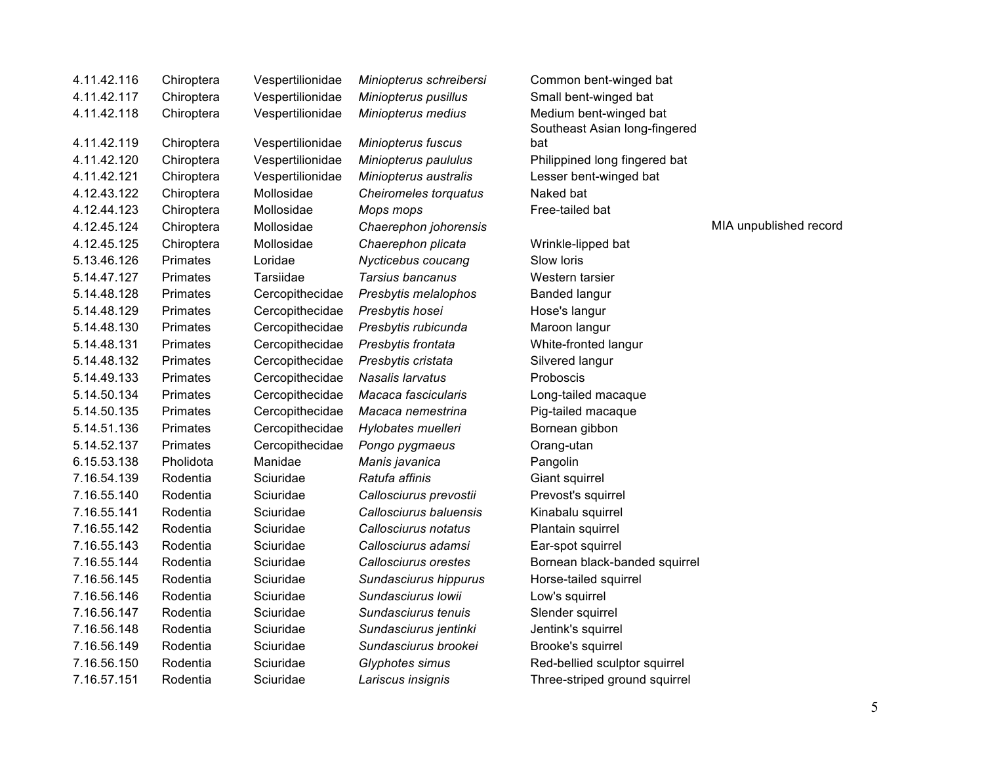| 4.11.42.116 | Chiroptera      | Vespertilionidae | Miniopterus schreibersi   | Common bent-winged bat        |
|-------------|-----------------|------------------|---------------------------|-------------------------------|
| 4.11.42.117 | Chiroptera      | Vespertilionidae | Miniopterus pusillus      | Small bent-winged bat         |
| 4.11.42.118 | Chiroptera      | Vespertilionidae | Miniopterus medius        | Medium bent-winged bat        |
|             |                 |                  |                           | Southeast Asian long-fingered |
| 4.11.42.119 | Chiroptera      | Vespertilionidae | <b>Miniopterus fuscus</b> | bat                           |
| 4.11.42.120 | Chiroptera      | Vespertilionidae | Miniopterus paululus      | Philippined long fingered bat |
| 4.11.42.121 | Chiroptera      | Vespertilionidae | Miniopterus australis     | Lesser bent-winged bat        |
| 4.12.43.122 | Chiroptera      | Mollosidae       | Cheiromeles torquatus     | Naked bat                     |
| 4.12.44.123 | Chiroptera      | Mollosidae       | Mops mops                 | Free-tailed bat               |
| 4.12.45.124 | Chiroptera      | Mollosidae       | Chaerephon johorensis     |                               |
| 4.12.45.125 | Chiroptera      | Mollosidae       | Chaerephon plicata        | Wrinkle-lipped bat            |
| 5.13.46.126 | Primates        | Loridae          | Nycticebus coucang        | Slow loris                    |
| 5.14.47.127 | <b>Primates</b> | Tarsiidae        | Tarsius bancanus          | Western tarsier               |
| 5.14.48.128 | Primates        | Cercopithecidae  | Presbytis melalophos      | <b>Banded langur</b>          |
| 5.14.48.129 | <b>Primates</b> | Cercopithecidae  | Presbytis hosei           | Hose's langur                 |
| 5.14.48.130 | <b>Primates</b> | Cercopithecidae  | Presbytis rubicunda       | Maroon langur                 |
| 5.14.48.131 | Primates        | Cercopithecidae  | Presbytis frontata        | White-fronted langur          |
| 5.14.48.132 | <b>Primates</b> | Cercopithecidae  | Presbytis cristata        | Silvered langur               |
| 5.14.49.133 | <b>Primates</b> | Cercopithecidae  | Nasalis larvatus          | Proboscis                     |
| 5.14.50.134 | Primates        | Cercopithecidae  | Macaca fascicularis       | Long-tailed macaque           |
| 5.14.50.135 | Primates        | Cercopithecidae  | Macaca nemestrina         | Pig-tailed macaque            |
| 5.14.51.136 | Primates        | Cercopithecidae  | Hylobates muelleri        | Bornean gibbon                |
| 5.14.52.137 | Primates        | Cercopithecidae  | Pongo pygmaeus            | Orang-utan                    |
| 6.15.53.138 | Pholidota       | Manidae          | Manis javanica            | Pangolin                      |
| 7.16.54.139 | Rodentia        | Sciuridae        | Ratufa affinis            | Giant squirrel                |
| 7.16.55.140 | Rodentia        | Sciuridae        | Callosciurus prevostii    | Prevost's squirrel            |
| 7.16.55.141 | Rodentia        | Sciuridae        | Callosciurus baluensis    | Kinabalu squirrel             |
| 7.16.55.142 | Rodentia        | Sciuridae        | Callosciurus notatus      | Plantain squirrel             |
| 7.16.55.143 | Rodentia        | Sciuridae        | Callosciurus adamsi       | Ear-spot squirrel             |
| 7.16.55.144 | Rodentia        | Sciuridae        | Callosciurus orestes      | Bornean black-banded squirrel |
| 7.16.56.145 | Rodentia        | Sciuridae        | Sundasciurus hippurus     | Horse-tailed squirrel         |
| 7.16.56.146 | Rodentia        | Sciuridae        | Sundasciurus Iowii        | Low's squirrel                |
| 7.16.56.147 | Rodentia        | Sciuridae        | Sundasciurus tenuis       | Slender squirrel              |
| 7.16.56.148 | Rodentia        | Sciuridae        | Sundasciurus jentinki     | Jentink's squirrel            |
| 7.16.56.149 | Rodentia        | Sciuridae        | Sundasciurus brookei      | Brooke's squirrel             |
| 7.16.56.150 | Rodentia        | Sciuridae        | Glyphotes simus           | Red-bellied sculptor squirrel |
| 7.16.57.151 | Rodentia        | Sciuridae        | Lariscus insignis         | Three-striped ground squirrel |
|             |                 |                  |                           |                               |

Iong-fingered fingered bat

4.12.45.124 Chiroptera Mollosidae *Chaerephon johorensis* MIA unpublished record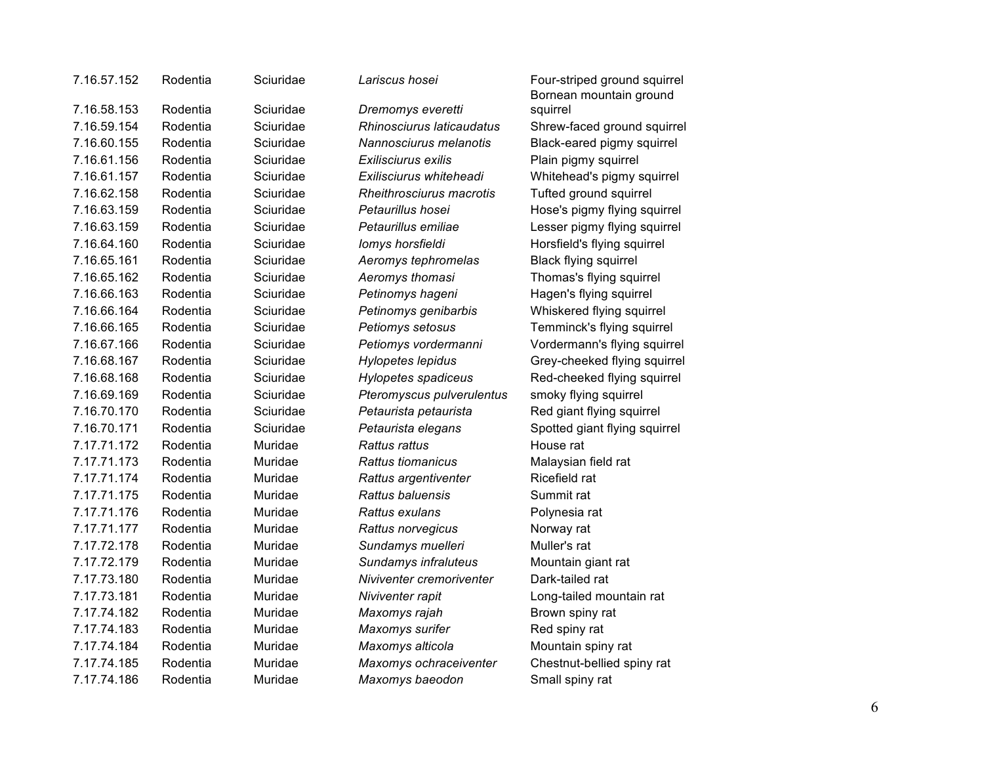| 7.16.57.152 | Rodentia | Sciuridae | Lariscus hosei            | Four-striped ground squirrel<br>Bornean mountain ground |
|-------------|----------|-----------|---------------------------|---------------------------------------------------------|
| 7.16.58.153 | Rodentia | Sciuridae | Dremomys everetti         | squirrel                                                |
| 7.16.59.154 | Rodentia | Sciuridae | Rhinosciurus laticaudatus | Shrew-faced ground squirrel                             |
| 7.16.60.155 | Rodentia | Sciuridae | Nannosciurus melanotis    | Black-eared pigmy squirrel                              |
| 7.16.61.156 | Rodentia | Sciuridae | Exilisciurus exilis       | Plain pigmy squirrel                                    |
| 7.16.61.157 | Rodentia | Sciuridae | Exilisciurus whiteheadi   | Whitehead's pigmy squirrel                              |
| 7.16.62.158 | Rodentia | Sciuridae | Rheithrosciurus macrotis  | Tufted ground squirrel                                  |
| 7.16.63.159 | Rodentia | Sciuridae | Petaurillus hosei         | Hose's pigmy flying squirrel                            |
| 7.16.63.159 | Rodentia | Sciuridae | Petaurillus emiliae       | Lesser pigmy flying squirrel                            |
| 7.16.64.160 | Rodentia | Sciuridae | lomys horsfieldi          | Horsfield's flying squirrel                             |
| 7.16.65.161 | Rodentia | Sciuridae | Aeromys tephromelas       | <b>Black flying squirrel</b>                            |
| 7.16.65.162 | Rodentia | Sciuridae | Aeromys thomasi           | Thomas's flying squirrel                                |
| 7.16.66.163 | Rodentia | Sciuridae | Petinomys hageni          | Hagen's flying squirrel                                 |
| 7.16.66.164 | Rodentia | Sciuridae | Petinomys genibarbis      | Whiskered flying squirrel                               |
| 7.16.66.165 | Rodentia | Sciuridae | Petiomys setosus          | Temminck's flying squirrel                              |
| 7.16.67.166 | Rodentia | Sciuridae | Petiomys vordermanni      | Vordermann's flying squirrel                            |
| 7.16.68.167 | Rodentia | Sciuridae | Hylopetes lepidus         | Grey-cheeked flying squirrel                            |
| 7.16.68.168 | Rodentia | Sciuridae | Hylopetes spadiceus       | Red-cheeked flying squirrel                             |
| 7.16.69.169 | Rodentia | Sciuridae | Pteromyscus pulverulentus | smoky flying squirrel                                   |
| 7.16.70.170 | Rodentia | Sciuridae | Petaurista petaurista     | Red giant flying squirrel                               |
| 7.16.70.171 | Rodentia | Sciuridae | Petaurista elegans        | Spotted giant flying squirrel                           |
| 7.17.71.172 | Rodentia | Muridae   | Rattus rattus             | House rat                                               |
| 7.17.71.173 | Rodentia | Muridae   | Rattus tiomanicus         | Malaysian field rat                                     |
| 7.17.71.174 | Rodentia | Muridae   | Rattus argentiventer      | Ricefield rat                                           |
| 7.17.71.175 | Rodentia | Muridae   | Rattus baluensis          | Summit rat                                              |
| 7.17.71.176 | Rodentia | Muridae   | Rattus exulans            | Polynesia rat                                           |
| 7.17.71.177 | Rodentia | Muridae   | Rattus norvegicus         | Norway rat                                              |
| 7.17.72.178 | Rodentia | Muridae   | Sundamys muelleri         | Muller's rat                                            |
| 7.17.72.179 | Rodentia | Muridae   | Sundamys infraluteus      | Mountain giant rat                                      |
| 7.17.73.180 | Rodentia | Muridae   | Niviventer cremoriventer  | Dark-tailed rat                                         |
| 7.17.73.181 | Rodentia | Muridae   | Niviventer rapit          | Long-tailed mountain rat                                |
| 7.17.74.182 | Rodentia | Muridae   | Maxomys rajah             | Brown spiny rat                                         |
| 7.17.74.183 | Rodentia | Muridae   | Maxomys surifer           | Red spiny rat                                           |
| 7.17.74.184 | Rodentia | Muridae   | Maxomys alticola          | Mountain spiny rat                                      |
| 7.17.74.185 | Rodentia | Muridae   | Maxomys ochraceiventer    | Chestnut-bellied spiny rat                              |
| 7.17.74.186 | Rodentia | Muridae   | Maxomys baeodon           | Small spiny rat                                         |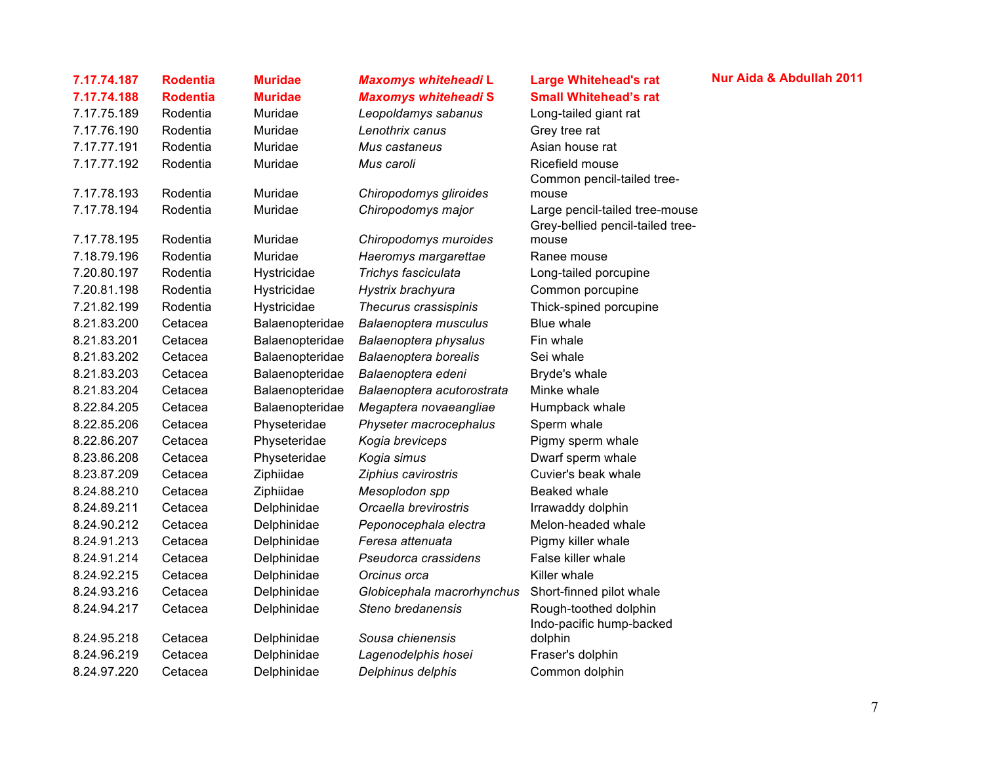| 7.17.74.187 | <b>Rodentia</b> | <b>Muridae</b>  | Maxomys whiteheadi L        | <b>Large Whitehead's rat</b>                                       |
|-------------|-----------------|-----------------|-----------------------------|--------------------------------------------------------------------|
| 7.17.74.188 | <b>Rodentia</b> | <b>Muridae</b>  | <b>Maxomys whiteheadi S</b> | <b>Small Whitehead's rat</b>                                       |
| 7.17.75.189 | Rodentia        | Muridae         | Leopoldamys sabanus         | Long-tailed giant rat                                              |
| 7.17.76.190 | Rodentia        | Muridae         | Lenothrix canus             | Grey tree rat                                                      |
| 7.17.77.191 | Rodentia        | Muridae         | Mus castaneus               | Asian house rat                                                    |
| 7.17.77.192 | Rodentia        | Muridae         | Mus caroli                  | Ricefield mouse                                                    |
|             |                 |                 |                             | Common pencil-tailed tree-                                         |
| 7.17.78.193 | Rodentia        | Muridae         | Chiropodomys gliroides      | mouse                                                              |
| 7.17.78.194 | Rodentia        | Muridae         | Chiropodomys major          | Large pencil-tailed tree-mouse<br>Grey-bellied pencil-tailed tree- |
| 7.17.78.195 | Rodentia        | Muridae         | Chiropodomys muroides       | mouse                                                              |
| 7.18.79.196 | Rodentia        | Muridae         | Haeromys margarettae        | Ranee mouse                                                        |
| 7.20.80.197 | Rodentia        | Hystricidae     | Trichys fasciculata         | Long-tailed porcupine                                              |
| 7.20.81.198 | Rodentia        | Hystricidae     | Hystrix brachyura           | Common porcupine                                                   |
| 7.21.82.199 | Rodentia        | Hystricidae     | Thecurus crassispinis       | Thick-spined porcupine                                             |
| 8.21.83.200 | Cetacea         | Balaenopteridae | Balaenoptera musculus       | Blue whale                                                         |
| 8.21.83.201 | Cetacea         | Balaenopteridae | Balaenoptera physalus       | Fin whale                                                          |
| 8.21.83.202 | Cetacea         | Balaenopteridae | Balaenoptera borealis       | Sei whale                                                          |
| 8.21.83.203 | Cetacea         | Balaenopteridae | Balaenoptera edeni          | Bryde's whale                                                      |
| 8.21.83.204 | Cetacea         | Balaenopteridae | Balaenoptera acutorostrata  | Minke whale                                                        |
| 8.22.84.205 | Cetacea         | Balaenopteridae | Megaptera novaeangliae      | Humpback whale                                                     |
| 8.22.85.206 | Cetacea         | Physeteridae    | Physeter macrocephalus      | Sperm whale                                                        |
| 8.22.86.207 | Cetacea         | Physeteridae    | Kogia breviceps             | Pigmy sperm whale                                                  |
| 8.23.86.208 | Cetacea         | Physeteridae    | Kogia simus                 | Dwarf sperm whale                                                  |
| 8.23.87.209 | Cetacea         | Ziphiidae       | Ziphius cavirostris         | Cuvier's beak whale                                                |
| 8.24.88.210 | Cetacea         | Ziphiidae       | Mesoplodon spp              | Beaked whale                                                       |
| 8.24.89.211 | Cetacea         | Delphinidae     | Orcaella brevirostris       | Irrawaddy dolphin                                                  |
| 8.24.90.212 | Cetacea         | Delphinidae     | Peponocephala electra       | Melon-headed whale                                                 |
| 8.24.91.213 | Cetacea         | Delphinidae     | Feresa attenuata            | Pigmy killer whale                                                 |
| 8.24.91.214 | Cetacea         | Delphinidae     | Pseudorca crassidens        | False killer whale                                                 |
| 8.24.92.215 | Cetacea         | Delphinidae     | Orcinus orca                | Killer whale                                                       |
| 8.24.93.216 | Cetacea         | Delphinidae     | Globicephala macrorhynchus  | Short-finned pilot whale                                           |
| 8.24.94.217 | Cetacea         | Delphinidae     | Steno bredanensis           | Rough-toothed dolphin<br>Indo-pacific hump-backed                  |
| 8.24.95.218 | Cetacea         | Delphinidae     | Sousa chienensis            | dolphin                                                            |
| 8.24.96.219 | Cetacea         | Delphinidae     | Lagenodelphis hosei         | Fraser's dolphin                                                   |
| 8.24.97.220 | Cetacea         | Delphinidae     | Delphinus delphis           | Common dolphin                                                     |
|             |                 |                 |                             |                                                                    |

### **7.17.74.187 Rodentia Muridae** *Maxomys whiteheadi* **L Large Whitehead's rat Nur Aida & Abdullah 2011**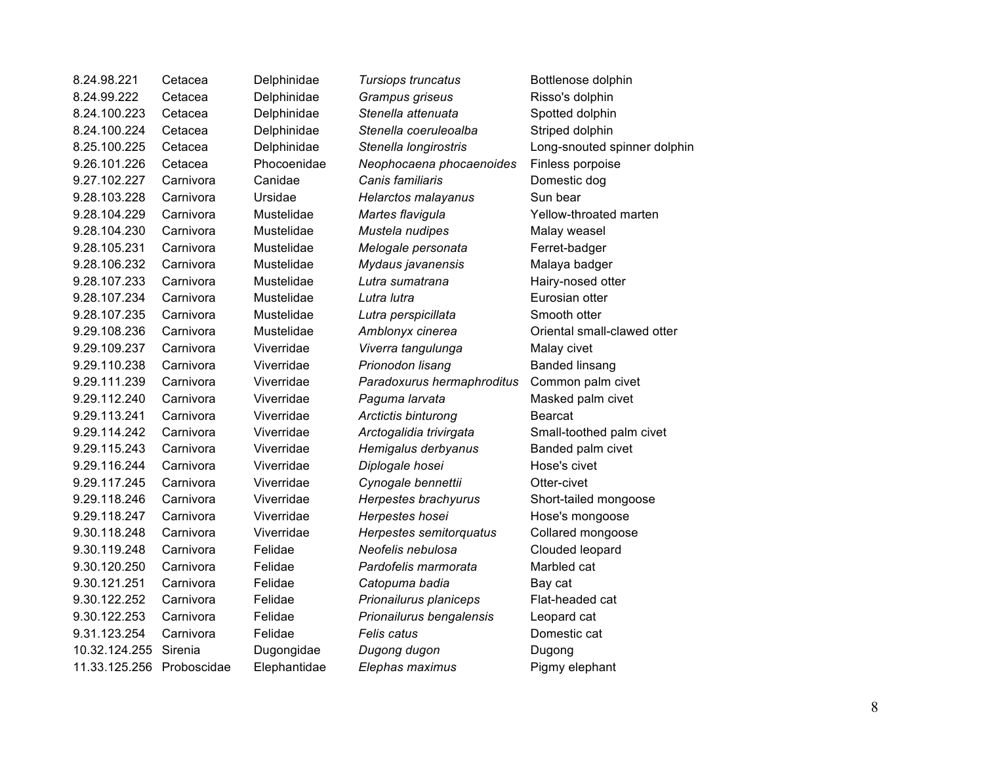| 8.24.98.221   | Cetacea     | Delphinidae  | Tursiops truncatus         | Bottlenose dolphin           |
|---------------|-------------|--------------|----------------------------|------------------------------|
| 8.24.99.222   | Cetacea     | Delphinidae  | Grampus griseus            | Risso's dolphin              |
| 8.24.100.223  | Cetacea     | Delphinidae  | Stenella attenuata         | Spotted dolphin              |
| 8.24.100.224  | Cetacea     | Delphinidae  | Stenella coeruleoalba      | Striped dolphin              |
| 8.25.100.225  | Cetacea     | Delphinidae  | Stenella longirostris      | Long-snouted spinner dolphin |
| 9.26.101.226  | Cetacea     | Phocoenidae  | Neophocaena phocaenoides   | Finless porpoise             |
| 9.27.102.227  | Carnivora   | Canidae      | Canis familiaris           | Domestic dog                 |
| 9.28.103.228  | Carnivora   | Ursidae      | Helarctos malayanus        | Sun bear                     |
| 9.28.104.229  | Carnivora   | Mustelidae   | Martes flavigula           | Yellow-throated marten       |
| 9.28.104.230  | Carnivora   | Mustelidae   | Mustela nudipes            | Malay weasel                 |
| 9.28.105.231  | Carnivora   | Mustelidae   | Melogale personata         | Ferret-badger                |
| 9.28.106.232  | Carnivora   | Mustelidae   | Mydaus javanensis          | Malaya badger                |
| 9.28.107.233  | Carnivora   | Mustelidae   | Lutra sumatrana            | Hairy-nosed otter            |
| 9.28.107.234  | Carnivora   | Mustelidae   | Lutra lutra                | Eurosian otter               |
| 9.28.107.235  | Carnivora   | Mustelidae   | Lutra perspicillata        | Smooth otter                 |
| 9.29.108.236  | Carnivora   | Mustelidae   | Amblonyx cinerea           | Oriental small-clawed otter  |
| 9.29.109.237  | Carnivora   | Viverridae   | Viverra tangulunga         | Malay civet                  |
| 9.29.110.238  | Carnivora   | Viverridae   | Prionodon lisang           | <b>Banded linsang</b>        |
| 9.29.111.239  | Carnivora   | Viverridae   | Paradoxurus hermaphroditus | Common palm civet            |
| 9.29.112.240  | Carnivora   | Viverridae   | Paguma larvata             | Masked palm civet            |
| 9.29.113.241  | Carnivora   | Viverridae   | Arctictis binturong        | Bearcat                      |
| 9.29.114.242  | Carnivora   | Viverridae   | Arctogalidia trivirgata    | Small-toothed palm civet     |
| 9.29.115.243  | Carnivora   | Viverridae   | Hemigalus derbyanus        | Banded palm civet            |
| 9.29.116.244  | Carnivora   | Viverridae   | Diplogale hosei            | Hose's civet                 |
| 9.29.117.245  | Carnivora   | Viverridae   | Cynogale bennettii         | Otter-civet                  |
| 9.29.118.246  | Carnivora   | Viverridae   | Herpestes brachyurus       | Short-tailed mongoose        |
| 9.29.118.247  | Carnivora   | Viverridae   | Herpestes hosei            | Hose's mongoose              |
| 9.30.118.248  | Carnivora   | Viverridae   | Herpestes semitorquatus    | Collared mongoose            |
| 9.30.119.248  | Carnivora   | Felidae      | Neofelis nebulosa          | Clouded leopard              |
| 9.30.120.250  | Carnivora   | Felidae      | Pardofelis marmorata       | Marbled cat                  |
| 9.30.121.251  | Carnivora   | Felidae      | Catopuma badia             | Bay cat                      |
| 9.30.122.252  | Carnivora   | Felidae      | Prionailurus planiceps     | Flat-headed cat              |
| 9.30.122.253  | Carnivora   | Felidae      | Prionailurus bengalensis   | Leopard cat                  |
| 9.31.123.254  | Carnivora   | Felidae      | Felis catus                | Domestic cat                 |
| 10.32.124.255 | Sirenia     | Dugongidae   | Dugong dugon               | Dugong                       |
| 11.33.125.256 | Proboscidae | Elephantidae | Elephas maximus            | Pigmy elephant               |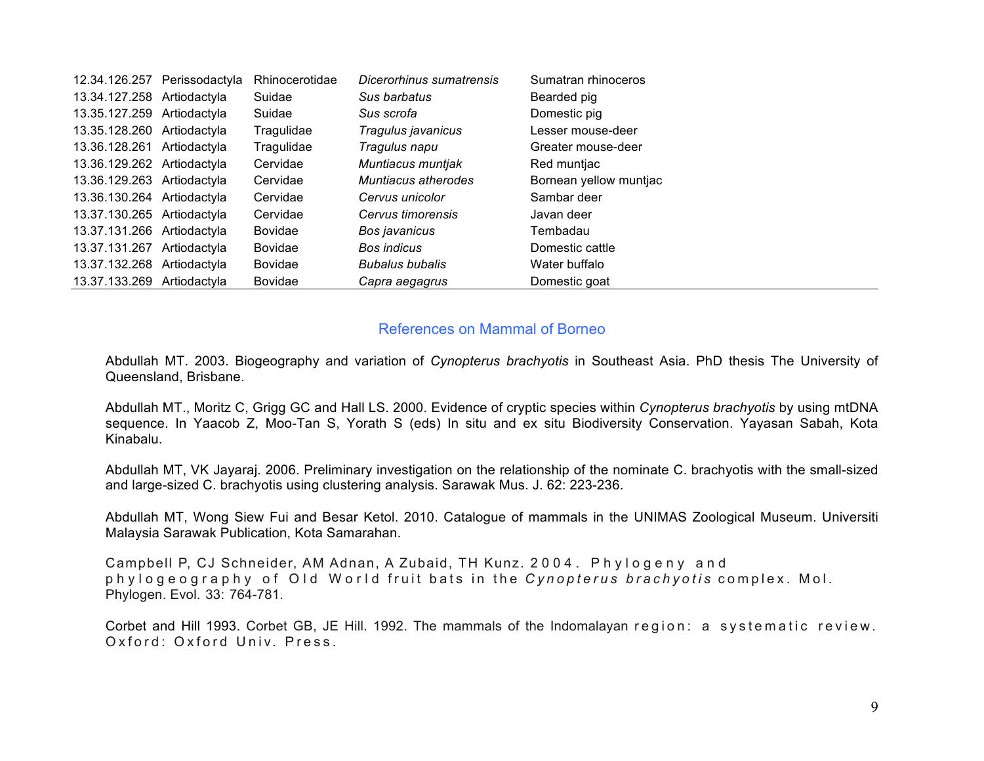|                            | 12.34.126.257 Perissodactyla | Rhinocerotidae | Dicerorhinus sumatrensis | Sumatran rhinoceros    |
|----------------------------|------------------------------|----------------|--------------------------|------------------------|
| 13.34.127.258 Artiodactyla |                              | Suidae         | Sus barbatus             | Bearded pig            |
| 13.35.127.259 Artiodactyla |                              | Suidae         | Sus scrofa               | Domestic pig           |
| 13.35.128.260 Artiodactyla |                              | Tragulidae     | Tragulus javanicus       | Lesser mouse-deer      |
| 13.36.128.261 Artiodactyla |                              | Tragulidae     | Tragulus napu            | Greater mouse-deer     |
| 13.36.129.262 Artiodactyla |                              | Cervidae       | Muntiacus muntjak        | Red muntjac            |
| 13.36.129.263 Artiodactyla |                              | Cervidae       | Muntiacus atherodes      | Bornean yellow muntjac |
| 13.36.130.264 Artiodactyla |                              | Cervidae       | Cervus unicolor          | Sambar deer            |
| 13.37.130.265 Artiodactyla |                              | Cervidae       | Cervus timorensis        | Javan deer             |
| 13.37.131.266 Artiodactyla |                              | <b>Bovidae</b> | Bos javanicus            | Tembadau               |
| 13.37.131.267 Artiodactyla |                              | <b>Bovidae</b> | Bos indicus              | Domestic cattle        |
| 13.37.132.268 Artiodactyla |                              | <b>Bovidae</b> | <b>Bubalus bubalis</b>   | Water buffalo          |
| 13.37.133.269 Artiodactyla |                              | <b>Bovidae</b> | Capra aegagrus           | Domestic goat          |
|                            |                              |                |                          |                        |

### References on Mammal of Borneo

Abdullah MT. 2003. Biogeography and variation of *Cynopterus brachyotis* in Southeast Asia. PhD thesis The University of Queensland, Brisbane.

Abdullah MT., Moritz C, Grigg GC and Hall LS. 2000. Evidence of cryptic species within *Cynopterus brachyotis* by using mtDNA sequence. In Yaacob Z, Moo-Tan S, Yorath S (eds) In situ and ex situ Biodiversity Conservation. Yayasan Sabah, Kota Kinabalu.

Abdullah MT, VK Jayaraj. 2006. Preliminary investigation on the relationship of the nominate C. brachyotis with the small-sized and large-sized C. brachyotis using clustering analysis. Sarawak Mus. J. 62: 223-236.

Abdullah MT, Wong Siew Fui and Besar Ketol. 2010. Catalogue of mammals in the UNIMAS Zoological Museum. Universiti Malaysia Sarawak Publication, Kota Samarahan.

Campbell P, CJ Schneider, AM Adnan, A Zubaid, TH Kunz. 2004. Phylogeny and phylogeography of Old World fruit bats in the *Cynopterus brachyotis* complex. Mol. Phylogen. Evol. 33: 764-781.

Corbet and Hill 1993. Corbet GB, JE Hill. 1992. The mammals of the Indomalayan region: a systematic review. Oxford: Oxford Univ. Press.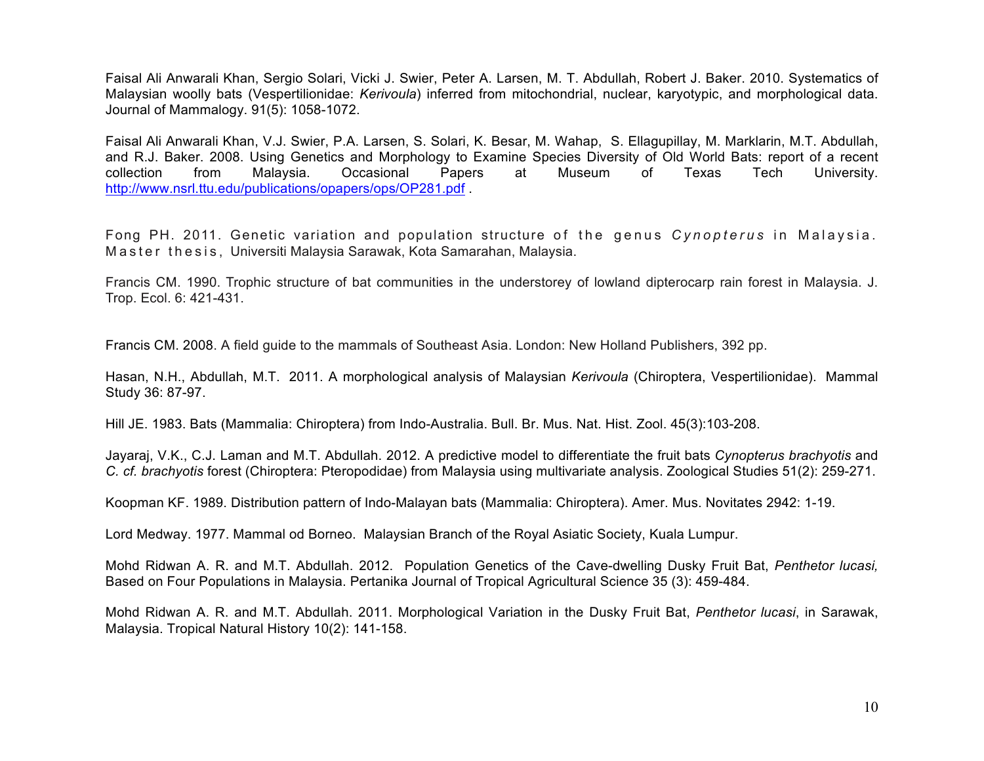Faisal Ali Anwarali Khan, Sergio Solari, Vicki J. Swier, Peter A. Larsen, M. T. Abdullah, Robert J. Baker. 2010. Systematics of Malaysian woolly bats (Vespertilionidae: *Kerivoula*) inferred from mitochondrial, nuclear, karyotypic, and morphological data. Journal of Mammalogy. 91(5): 1058-1072.

Faisal Ali Anwarali Khan, V.J. Swier, P.A. Larsen, S. Solari, K. Besar, M. Wahap, S. Ellagupillay, M. Marklarin, M.T. Abdullah, and R.J. Baker. 2008. Using Genetics and Morphology to Examine Species Diversity of Old World Bats: report of a recent collection from Malaysia. Occasional Papers at Museum of Texas Tech University. http://www.nsrl.ttu.edu/publications/opapers/ops/OP281.pdf .

Fong PH. 2011. Genetic variation and population structure of the genus *Cynopterus* in Malaysia. Master thesis, Universiti Malaysia Sarawak, Kota Samarahan, Malaysia.

Francis CM. 1990. Trophic structure of bat communities in the understorey of lowland dipterocarp rain forest in Malaysia. J. Trop. Ecol. 6: 421-431.

Francis CM. 2008. A field guide to the mammals of Southeast Asia. London: New Holland Publishers, 392 pp.

Hasan, N.H., Abdullah, M.T. 2011. A morphological analysis of Malaysian *Kerivoula* (Chiroptera, Vespertilionidae). Mammal Study 36: 87-97.

Hill JE. 1983. Bats (Mammalia: Chiroptera) from Indo-Australia. Bull. Br. Mus. Nat. Hist. Zool. 45(3):103-208.

Jayaraj, V.K., C.J. Laman and M.T. Abdullah. 2012. A predictive model to differentiate the fruit bats *Cynopterus brachyotis* and *C. cf. brachyotis* forest (Chiroptera: Pteropodidae) from Malaysia using multivariate analysis. Zoological Studies 51(2): 259-271.

Koopman KF. 1989. Distribution pattern of Indo-Malayan bats (Mammalia: Chiroptera). Amer. Mus. Novitates 2942: 1-19.

Lord Medway. 1977. Mammal od Borneo. Malaysian Branch of the Royal Asiatic Society, Kuala Lumpur.

Mohd Ridwan A. R. and M.T. Abdullah. 2012. Population Genetics of the Cave-dwelling Dusky Fruit Bat, *Penthetor lucasi,* Based on Four Populations in Malaysia. Pertanika Journal of Tropical Agricultural Science 35 (3): 459-484.

Mohd Ridwan A. R. and M.T. Abdullah. 2011. Morphological Variation in the Dusky Fruit Bat, *Penthetor lucasi*, in Sarawak, Malaysia. Tropical Natural History 10(2): 141-158.